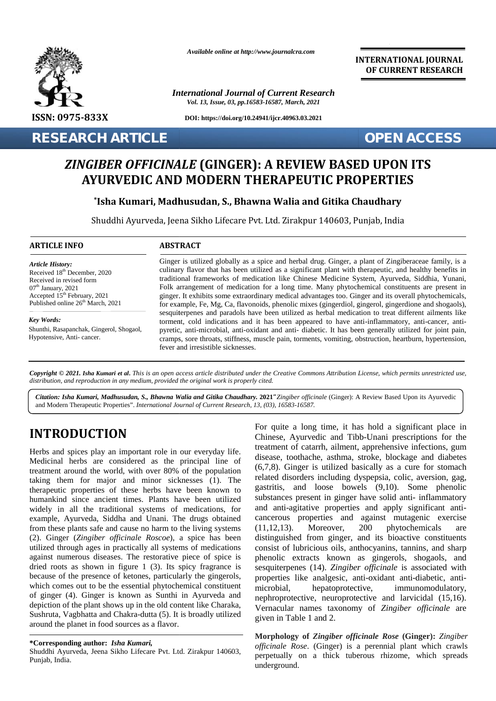

*Available online at http://www.journalcra.com*

*International Journal of Current Research Vol. 13, Issue, 03, pp.16583-16587, March, 2021*

**DOI: https://doi.org/10.24941/ijcr.40963.03.2021**

**RESEARCH ARTICLE OPEN ACCESS**

**INTERNATIONAL JOURNAL OF CURRENT RESEARCH**

# *ZINGIBER OFFICINALE* **(GINGER): A REVIEW BASED UPON ITS BASED ITSPROPERTIESAYURVEDIC AND MODERN THERAPEUTIC PROPERTIES**

**\*Isha Kumari, Madhusudan, S., Bhawna Walia and Gitika Chaudhary \*Isha Madhusudan, S.,** 

Shuddhi Ayurveda, Jeena Sikho Lifecare Pvt. Ltd. Zirakpur 140603, Punjab, India

### **ARTICLE INFO ABSTRACT ARTICLE ABSTRACT**

*Article History: Article History:* Received  $18<sup>th</sup>$  December, 2020 Received in revised form Received in revised form  $07<sup>th</sup>$  January, 2021 Received in revised form<br>  $07^{\text{th}}$  January, 2021 F<br>
Accepted 15<sup>th</sup> February, 2021 g Published online  $26<sup>th</sup>$  March, 2021

*Key Words: Key Words:* Erik ovarian cancer, English cancer, English cancer, Shogaol, Shogaol, Hypotensive, Anti- cancer.

Ginger is utilized globally as a spice and herbal drug. Ginger, a plant of Zingiberaceae family, is a culinary flavor that has been utilized as a significant plant with therapeutic, and healthy benefits in traditional frameworks of medication like Chinese Medicine System, Ayurveda, Siddhia, Yunani, Folk arrangement of medication for a long time. Many phytochemical constituents are present in ginger. It exhibits some extraordinary medical advantages too. Ginger and its overall phytochemicals, for example, Fe, Mg, Ca, flavonoids, phenolic mixes (gingerdiol, gingerol, gingerdione and shogaols), sesquiterpenes and paradols have been utilized as herbal medication to treat different ailments like torment, cold indications and it has been appeared to have anti-inflammatory, anti-cancer, anti pyretic, anti-microbial, anti-oxidant and anti- diabetic. It has been generally utilized for joint pain, cramps, sore throats, stiffness, muscle pain, torments, vomiting, obstruction, heartburn, hypertension, fever and irresistible sicknesses. Ginger is utilized globally as a spice and herbal drug. Ginger, a plant of Zingiberaceae family, is a culinary flavor that has been utilized as a significant plant with therapeutic, and healthy benefits in traditional fram **EXECT SECT ARTICLE SECT ACCESS**<br> **EXECTIVALE (GINGER): A REVIEW BASED UPON ITS**<br> **EXECTIVALE AND MODERN THERAPEUTIC PROPERTIES**<br> **EXECT TROP IS A KURITY AND MODERN THERAPEUTIC PROPERTIES**<br> **EXECT TROP IS A KURITY AND MODE** For 2020 culinary flavor that has been utilized as a signification<br>frameworks of medication like Chines<br>Folk arrangement of medication for a long time.<br>ginger. It exhibits some extraordinary medical adva<br>for example, Fe, M Received 18 December, 2020<br>
Received in revised form<br>
07<sup>th</sup> January, 2021<br>
Accepted 15<sup>th</sup> February, 2021<br>
Accepted 15<sup>th</sup> February, 2021<br>
Folk arrangement of medication for a long time. N<br>
Fublished online 26<sup>th</sup> March,

Copyright © 2021. Isha Kumari et al. This is an open access article distributed under the Creative Commons Attribution License, which permits unrestricted use, *distribution, and reproduction in any medium, provided the original work is properly cited. distribution,any*

Citation: Isha Kumari, Madhusudan, S., Bhawna Walia and Gitika Chaudhary. 2021 "Zingiber officinale (Ginger): A Review Based Upon its Ayurvedic and Modern Therapeutic Properties". *International Journal of Current Research, 13, (03), 16583-16587.*

# **INTRODUCTION INTRODUCTION**

Herbs and spices play an important role in our everyday life. Medicinal herbs are considered as the principal line of treatment around the world, with over 80% of the population taking them for major and minor sicknesses (1). The therapeutic properties of these herbs have been known to gasti humankind since ancient times. Plants have been utilized widely in all the traditional systems of medications, for example, Ayurveda, Siddha and Unani. The drugs obtained cancerous from these plants safe and cause no harm to the living systems (11.12.13). from these plants safe and cause no harm to the living systems (2). Ginger (*Zingiber officinale Roscoe*), a spice has been utilized through ages in practically all systems of medications against numerous diseases. The restorative piece of spice is dried roots as shown in figure 1 (3). Its spicy fragrance is because of the presence of ketones, particularly the gingerols, which comes out to be the essential phytochemical constituent  $\frac{1}{r}$ of ginger (4). Ginger is known as Sunthi in Ayurveda and of ginger (4). Ginger is known as Sunthi in Ayurveda and depiction of the plant shows up in the old content like Charaka, Sushruta, Vagbhatta and Chakra-dutta (5). It is broadly utilized Sushruta, Vagbhatta and Chakra-dutta (5). It is br<br>around the planet in food sources as a flavor. Herbs and spices play an important role in our everyday life.<br>
Medicinal herbs are considered as the principal line of<br>
treatment around the world, with over 80% of the population<br>
taking them for major and minor sickness example, Ayurveda, Siddha and Unani. The drugs obtained<br>from these plants safe and cause no harm to the living systems<br>(2). Ginger (Zingiber officinale Roscoe), a spice has been<br>utilized through ages in practically all sys a **Example 1**<br> **Example 1**<br> **Example 1**<br> **Example 1**<br> **Example 1**<br> **Example 1**<br> **Example 1**<br> **Example 1**<br> **Example 1**<br> **Example 1**<br> **Example 1**<br> **Example 1**<br> **Example 1**<br> **Example 1**<br> **Example 1**<br> **Example 1**<br> **Example 1**<br>

Shuddhi Ayurveda, Jeena Sikho Lifecare Pvt. Ltd. Zirakpur 140603, Punjab, India.

For quite a long time, it has hold a significant place in Chinese, Ayurvedic and Tibb-Unani prescriptions for the treatment of catarrh, ailment, apprehensive infections, gum disease, toothache, asthma, stroke, blockage and diabetes (6,7,8). Ginger is utilized basically as a cure for stomach related disorders including dyspepsia, colic, aversion, gag, gastritis, and loose bowels (9,10). Some phenolic substances present in ginger have solid anti- inflammatory and anti-agitative properties and apply significant anti cancerous properties and against mutagenic exercise Moreover, 200 phytochemicals are distinguished from ginger, and its bioactive constituents consist of lubricious oils, anthocyanins, tannins, and sharp phenolic extracts known as gingerols, shogaols, and sesquiterpenes (14). *Zingiber officinale* is associated with properties like analgesic, anti-oxidant anti-diabetic, anti microbial, hepatoprotective, immunomodulatory, nephroprotective, neuroprotective and larvicidal (15,16). Vernacular names taxonomy of *Zingiber officinale* are *Zingiber* given in Table 1 and 2. **INTRODUCTION**<br>
For quie a long time, it has hold a significant place in the Modicinal here is the Herbs and spices play an important role in our everyday life. Treatment of catarrh, ailment, apprehensive infections, gum<br> gastritis, and loose bowels (9,10). Some phenolic<br>substances present in ginger have solid anti- inflammatory<br>and anti-agitative properties and apply significant anti-<br>cancerous properties and against mutagenic exercise<br>(11 er, 2001 calling through that has been utilost as a significant plane in the interaction of the high benchis and healthy benchis and the spreads the spread of the spread of the spread of the spread of the spread of the sp Let youther the two set of harm in the living systems (11,12,13). Moreover, 200 phytochemicals are<br>safe and cause no harm to the living systems (11,12,13). Moreover, 200 phytochemicals are<br>there officinale Roscoe), a spic

**Morphology of** *Zingiber officinale Rose* **(Ginger):** *Zingiber* **Morphology** *officinale Rose*. (Ginger) is a perennial plant which crawls perpetually on a thick tuberous rhizome, which spreads underground.

**<sup>\*</sup>Corresponding author:** *Isha Kumari,* **\*Corresponding**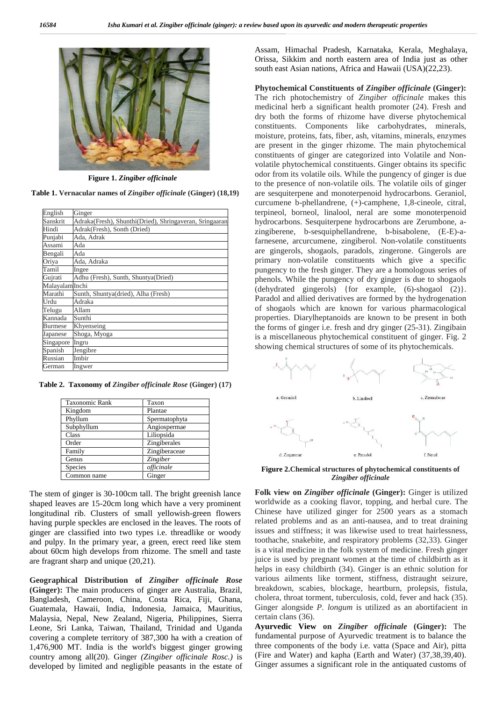

**Figure 1.** *Zingiber officinale*

**Table 1. Vernacular names of** *Zingiber officinale* **(Ginger) (18,19)**

| English         | Ginger                                                  |
|-----------------|---------------------------------------------------------|
| Sanskrit        | Adraka(Fresh), Shunthi(Dried), Shringaveran, Sringaaran |
| Hindi           | Adrak(Fresh), Sonth (Dried)                             |
| Punjabi         | Ada, Adrak                                              |
| Assami          | Ada                                                     |
| Bengali         | Ada                                                     |
| Oriya           | Ada, Adraka                                             |
| Tamil           | Ingee                                                   |
| Gujrati         | Adhu (Fresh), Sunth, Shuntya(Dried)                     |
| Malayalam Inchi |                                                         |
| Marathi         | Sunth, Shuntya(dried), Alha (Fresh)                     |
| Urdu            | Adraka                                                  |
| Telugu          | Allam                                                   |
| Kannada         | Sunthi                                                  |
| <b>Burmese</b>  | Khyenseing                                              |
| Japanese        | Shoga, Myoga                                            |
| Singapore       | Ingru                                                   |
| Spanish         | Jengibre                                                |
| Russian         | Imbir                                                   |
| German          | Ingwer                                                  |
|                 |                                                         |

**Table 2. Taxonomy of** *Zingiber officinale Rose* **(Ginger) (17)**

| <b>Taxonomic Rank</b> | Taxon           |
|-----------------------|-----------------|
| Kingdom               | Plantae         |
| Phyllum               | Spermatophyta   |
| Subphyllum            | Angiospermae    |
| Class                 | Liliopsida      |
| Order                 | Zingiberales    |
| Family                | Zingiberaceae   |
| Genus                 | <b>Zingiber</b> |
| Species               | officinale      |
| Common name           | Ginger          |

The stem of ginger is 30-100cm tall. The bright greenish lance shaped leaves are 15-20cm long which have a very prominent longitudinal rib. Clusters of small yellowish-green flowers having purple speckles are enclosed in the leaves. The roots of ginger are classified into two types i.e. threadlike or woody and pulpy. In the primary year, a green, erect reed like stem about 60cm high develops from rhizome. The smell and taste are fragrant sharp and unique (20,21).

**Geographical Distribution of** *Zingiber officinale Rose* **(Ginger):** The main producers of ginger are Australia, Brazil, Bangladesh, Cameroon, China, Costa Rica, Fiji, Ghana, Guatemala, Hawaii, India, Indonesia, Jamaica, Mauritius, Malaysia, Nepal, New Zealand, Nigeria, Philippines, Sierra Leone, Sri Lanka, Taiwan, Thailand, Trinidad and Uganda covering a complete territory of 387,300 ha with a creation of 1,476,900 MT. India is the world's biggest ginger growing country among all(20). Ginger *(Zingiber officinale Rosc.)* is developed by limited and negligible peasants in the estate of

Assam, Himachal Pradesh, Karnataka, Kerala, Meghalaya, Orissa, Sikkim and north eastern area of India just as other south east Asian nations, Africa and Hawaii (USA)(22,23).

**Phytochemical Constituents of** *Zingiber officinale* **(Ginger):** The rich photochemistry of *Zingiber officinale* makes this medicinal herb a significant health promoter (24). Fresh and dry both the forms of rhizome have diverse phytochemical constituents. Components like carbohydrates, minerals, moisture, proteins, fats, fiber, ash, vitamins, minerals, enzymes are present in the ginger rhizome. The main phytochemical constituents of ginger are categorized into Volatile and Non volatile phytochemical constituents. Ginger obtains its specific odor from its volatile oils. While the pungency of ginger is due to the presence of non-volatile oils. The volatile oils of ginger are sesquiterpene and monoterpenoid hydrocarbons. Geraniol, curcumene b-phellandrene, (+)-camphene, 1,8-cineole, citral, terpineol, borneol, linalool, neral are some monoterpenoid hydrocarbons. Sesquiterpene hydrocarbons are Zerumbone, a zingiberene, b-sesquiphellandrene, b-bisabolene, (E-E)-afarnesene, arcurcumene, zingiberol. Non-volatile constituents are gingerols, shogaols, paradols, zingerone. Gingerols are primary non-volatile constituents which give a specific pungency to the fresh ginger. They are a homologous series of phenols. While the pungency of dry ginger is due to shogaols (dehydrated gingerols) {for example, (6)-shogaol (2)}. Paradol and allied derivatives are formed by the hydrogenation of shogaols which are known for various pharmacological properties. Diarylheptanoids are known to be present in both the forms of ginger i.e. fresh and dry ginger (25-31). Zingibain is a miscellaneous phytochemical constituent of ginger. Fig. 2 showing chemical structures of some of its phytochemicals.



**Figure 2.Chemical structures of phytochemical constituents of** *Zingiber officinale*

**Folk view on** *Zingiber officinale* **(Ginger):** Ginger is utilized worldwide as a cooking flavor, topping, and herbal cure. The Chinese have utilized ginger for 2500 years as a stomach related problems and as an anti-nausea, and to treat draining issues and stiffness; it was likewise used to treat hairlessness, toothache, snakebite, and respiratory problems (32,33). Ginger is a vital medicine in the folk system of medicine. Fresh ginger juice is used by pregnant women at the time of childbirth as it helps in easy childbirth (34). Ginger is an ethnic solution for various ailments like torment, stiffness, distraught seizure, breakdown, scabies, blockage, heartburn, prolepsis, fistula, cholera, throat torment, tuberculosis, cold, fever and hack (35). Ginger alongside *P. longum* is utilized as an abortifacient in certain clans (36).

**Ayurvedic View on** *Zingiber officinale* **(Ginger):** The fundamental purpose of Ayurvedic treatment is to balance the three components of the body i.e. vatta (Space and Air), pitta (Fire and Water) and kapha (Earth and Water) (37,38,39,40). Ginger assumes a significant role in the antiquated customs of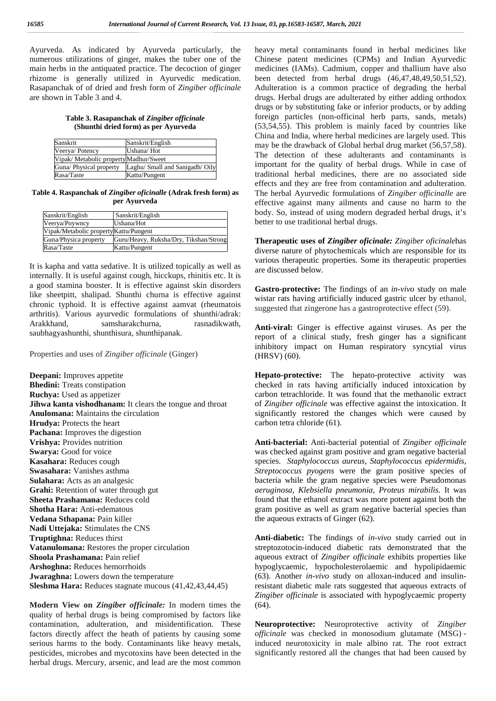Ayurveda. As indicated by Ayurveda particularly, the numerous utilizations of ginger, makes the tuber one of the main herbs in the antiquated practice. The decoction of ginger rhizome is generally utilized in Ayurvedic medication. Rasapanchak of of dried and fresh form of *Zingiber officinale* are shown in Table 3 and 4.

**Table 3. Rasapanchak of** *Zingiber officinale* **(Shunthi dried form) as per Ayurveda**

| Sanskrit                               | Sanskrit/English                |  |
|----------------------------------------|---------------------------------|--|
| Veerya/Potency                         | Ushana/Hot                      |  |
| Vipak/ Metabolic property Madhur/Sweet |                                 |  |
| Guna/ Physical property                | Laghu/ Small and Sanigadh/ Oily |  |
| Rasa/Taste                             | Kattu/Pungent                   |  |

**Table 4. Raspanchak of** *Zingiber oficinalle* **(Adrak fresh form) as per Ayurveda**

| Sanskrit/English                       | Sanskrit/English                       |
|----------------------------------------|----------------------------------------|
| Veerya/Poywncy                         | Ushana/Hot                             |
| Vipak/Metabolic property Kattu/Pungent |                                        |
| Guna/Physica property                  | Guru/Heavy, Ruksha/Dry, Tikshan/Strong |
| Rasa/Taste                             | Kattu/Pungent                          |

It is kapha and vatta sedative. It is utilized topically as well as internally. It is useful against cough, hicckups, rhinitis etc. It is a good stamina booster. It is effective against skin disorders like sheetpitt, shalipad. Shunthi churna is effective against chronic typhoid. It is effective against aamvat (rheumatois arthritis). Various ayurvedic formulations of shunthi/adrak: Arakkhand, samsharakchurna, rasnadikwath, saubhagyashunthi, shunthisura, shunthipanak.

Properties and uses of *Zingiber officinale* (Ginger)

**Deepani:** Improves appetite **Bhedini:** Treats constipation **Ruchya:** Used as appetizer **Jihwa kanta vishodhanam:** It clears the tongue and throat **Anulomana:** Maintains the circulation **Hrudya:** Protects the heart **Pachana:** Improves the digestion **Vrishya:** Provides nutrition **Swarya:** Good for voice **Kasahara:** Reduces cough **Swasahara:** Vanishes asthma **Sulahara:** Acts as an analgesic **Grahi:** Retention of water through gut **Sheeta Prashamana:** Reduces cold **Shotha Hara:** Anti-edematous **Vedana Sthapana:** Pain killer **Nadi Uttejaka:** Stimulates the CNS **Truptighna:** Reduces thirst **Vatanulomana:** Restores the proper circulation **Shoola Prashamana:** Pain relief **Arshoghna:** Reduces hemorrhoids **Jwaraghna:** Lowers down the temperature **Sleshma Hara:** Reduces stagnate mucous (41,42,43,44,45)

**Modern View on** *Zingiber officinale:* In modern times the quality of herbal drugs is being compromised by factors like contamination, adulteration, and misidentification. These factors directly affect the heath of patients by causing some serious harms to the body. Contaminants like heavy metals, pesticides, microbes and mycotoxins have been detected in the herbal drugs. Mercury, arsenic, and lead are the most common

heavy metal contaminants found in herbal medicines like Chinese patent medicines (CPMs) and Indian Ayurvedic medicines (IAMs). Cadmium, copper and thallium have also been detected from herbal drugs (46,47,48,49,50,51,52). Adulteration is a common practice of degrading the herbal drugs. Herbal drugs are adulterated by either adding orthodox drugs or by substituting fake or inferior products, or by adding foreign particles (non-officinal herb parts, sands, metals) (53,54,55). This problem is mainly faced by countries like China and India, where herbal medicines are largely used. This may be the drawback of Global herbal drug market (56,57,58). The detection of these adulterants and contaminants is important for the quality of herbal drugs. While in case of traditional herbal medicines, there are no associated side effects and they are free from contamination and adulteration. The herbal Ayurvedic formulations of *Zingiber officinalle* are effective against many ailments and cause no harm to the body. So, instead of using modern degraded herbal drugs, it's better to use traditional herbal drugs.

**Therapeutic uses of** *Zingiber oficinale: Zingiber oficinale*has diverse nature of phytochemicals which are responsible for its various therapeutic properties. Some its therapeutic properties are discussed below.

**Gastro-protective:** The findings of an *in-vivo* study on male wistar rats having artificially induced gastric ulcer by ethanol, suggested that zingerone has a gastroprotective effect (59).

**Anti-viral:** Ginger is effective against viruses. As per the report of a clinical study, fresh ginger has a significant inhibitory impact on Human respiratory syncytial virus (HRSV) (60).

**Hepato-protective:** The hepato-protective activity was checked in rats having artificially induced intoxication by carbon tetrachloride. It was found that the methanolic extract of *Zingiber officinale* was effective against the intoxication. It significantly restored the changes which were caused by carbon tetra chloride (61).

**Anti-bacterial:** Anti-bacterial potential of *Zingiber officinale* was checked against gram positive and gram negative bacterial species. *Staphylococcus aureus, Staphylococcus epidermidis, Streptococcus pyogens* were the gram positive species of bacteria while the gram negative species were Pseudomonas *aeruginosa, Klebsiella pneumonia, Proteus mirabilis.* It was found that the ethanol extract was more potent against both the gram positive as well as gram negative bacterial species than the aqueous extracts of Ginger (62).

**Anti-diabetic:** The findings of *in-vivo* study carried out in streptozotocin-induced diabetic rats demonstrated that the aqueous extract of *Zingiber officinale* exhibits properties like hypoglycaemic, hypocholesterolaemic and hypolipidaemic (63). Another *in-vivo* study on alloxan-induced and insulinresistant diabetic male rats suggested that aqueous extracts of *Zingiber officinale* is associated with hypoglycaemic property (64).

**Neuroprotective:** Neuroprotective activity of *Zingiber officinale* was checked in monosodium glutamate (MSG) induced neurotoxicity in male albino rat. The root extract significantly restored all the changes that had been caused by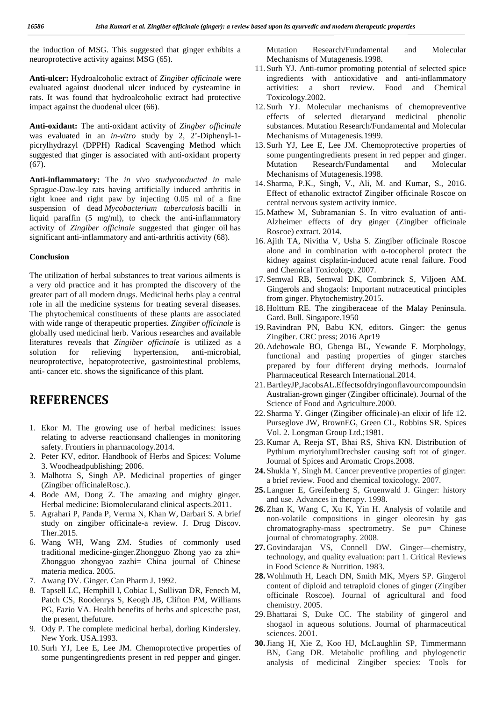the induction of MSG. This suggested that ginger exhibits a neuroprotective activity against MSG (65).

**Anti-ulcer:** Hydroalcoholic extract of *Zingiber officinale* were evaluated against duodenal ulcer induced by cysteamine in rats. It was found that hydroalcoholic extract had protective impact against the duodenal ulcer (66).

**Anti-oxidant:** The anti-oxidant activity of *Zingber officinale* was evaluated in an *in-vitro* study by 2, 2'-Diphenyl-1 picrylhydrazyl (DPPH) Radical Scavenging Method which suggested that ginger is associated with anti-oxidant property  $(67)$ .

**Anti-inflammatory:** The *in vivo studyconducted in* male Sprague-Daw-ley rats having artificially induced arthritis in right knee and right paw by injecting 0.05 ml of a fine suspension of dead *Mycobacterium tuberculosis* bacilli in liquid paraffin (5 mg/ml), to check the anti-inflammatory activity of *Zingiber officinale* suggested that ginger oil has significant anti-inflammatory and anti-arthritis activity (68).

### **Conclusion**

The utilization of herbal substances to treat various ailments is a very old practice and it has prompted the discovery of the greater part of all modern drugs. Medicinal herbs play a central role in all the medicine systems for treating several diseases. The phytochemical constituents of these plants are associated with wide range of therapeutic properties*. Zingiber officinale* is globally used medicinal herb. Various researches and available literatures reveals that *Zingiber officinale* is utilized as a solution for relieving hypertension, anti-microbial, neuroprotective, hepatoprotective, gastrointestinal problems, anti- cancer etc. shows the significance of this plant.

## **REFERENCES**

- 1. Ekor M. The growing use of herbal medicines: issues relating to adverse reactionsand challenges in monitoring safety. Frontiers in pharmacology.2014.
- 2. Peter KV, editor. Handbook of Herbs and Spices: Volume 3. Woodheadpublishing; 2006.
- 3. Malhotra S, Singh AP. Medicinal properties of ginger (Zingiber officinaleRosc.).
- 4. Bode AM, Dong Z. The amazing and mighty ginger. Herbal medicine: Biomolecularand clinical aspects.2011.
- 5. Agrahari P, Panda P, Verma N, Khan W, Darbari S. A brief study on zingiber officinale-a review. J. Drug Discov. Ther.2015.
- 6. Wang WH, Wang ZM. Studies of commonly used traditional medicine-ginger.Zhongguo Zhong yao za zhi= Zhongguo zhongyao zazhi= China journal of Chinese materia medica. 2005.
- 7. Awang DV. Ginger. Can Pharm J. 1992.
- 8. Tapsell LC, Hemphill I, Cobiac L, Sullivan DR, Fenech M, Patch CS, Roodenrys S, Keogh JB, Clifton PM, Williams PG, Fazio VA. Health benefits of herbs and spices:the past, the present, thefuture.
- 9. Ody P. The complete medicinal herbal, dorling Kindersley. New York. USA.1993.
- 10. Surh YJ, Lee E, Lee JM. Chemoprotective properties of some pungentingredients present in red pepper and ginger.

Research/Fundamental and Molecular Mechanisms of Mutagenesis.1998.

- 11. Surh YJ. Anti-tumor promoting potential of selected spice ingredients with antioxidative and anti-inflammatory activities: a short review. Food and Chemical Toxicology.2002.
- 12. Surh YJ. Molecular mechanisms of chemopreventive effects of selected dietaryand medicinal phenolic substances. Mutation Research/Fundamental and Molecular Mechanisms of Mutagenesis.1999.
- 13. Surh YJ, Lee E, Lee JM. Chemoprotective properties of some pungentingredients present in red pepper and ginger. Mutation Research/Fundamental and Molecular Mechanisms of Mutagenesis.1998.
- 14. Sharma, P.K., Singh, V., Ali, M. and Kumar, S., 2016. Effect of ethanolic extractof Zingiber officinale Roscoe on central nervous system activity inmice.
- 15. Mathew M, Subramanian S. In vitro evaluation of anti- Alzheimer effects of dry ginger (Zingiber officinale Roscoe) extract. 2014.
- 16. Ajith TA, Nivitha V, Usha S. Zingiber officinale Roscoe alone and in combination with -tocopherol protect the kidney against cisplatin-induced acute renal failure. Food and Chemical Toxicology. 2007.
- 17. Semwal RB, Semwal DK, Combrinck S, Viljoen AM. Gingerols and shogaols: Important nutraceutical principles from ginger. Phytochemistry.2015.
- 18. Holttum RE. The zingiberaceae of the Malay Peninsula. Gard. Bull. Singapore.1950
- 19.Ravindran PN, Babu KN, editors. Ginger: the genus Zingiber. CRC press; 2016 Apr19
- 20. Adebowale BO, Gbenga BL, Yewande F. Morphology, functional and pasting properties of ginger starches prepared by four different drying methods. Journalof Pharmaceutical Research International.2014.
- 21.BartleyJP,JacobsAL.Effectsofdryingonflavourcompoundsin Australian‐grown ginger (Zingiber officinale). Journal of the Science of Food and Agriculture.2000.
- 22. Sharma Y. Ginger (Zingiber officinale)-an elixir of life 12. Purseglove JW, BrownEG, Green CL, Robbins SR. Spices Vol. 2. Longman Group Ltd.;1981.
- 23. Kumar A, Reeja ST, Bhai RS, Shiva KN. Distribution of Pythium myriotylumDrechsler causing soft rot of ginger. Journal of Spices and Aromatic Crops.2008.
- **24.** Shukla Y, Singh M. Cancer preventive properties of ginger: a brief review. Food and chemical toxicology. 2007.
- **25.** Langner E, Greifenberg S, Gruenwald J. Ginger: history and use. Advances in therapy. 1998.
- **26.** Zhan K, Wang C, Xu K, Yin H. Analysis of volatile and non-volatile compositions in ginger oleoresin by gas chromatography-mass spectrometry. Se pu= Chinese journal of chromatography. 2008.
- **27.** Govindarajan VS, Connell DW. Ginger—chemistry, technology, and quality evaluation: part 1. Critical Reviews in Food Science & Nutrition. 1983.
- **28.** Wohlmuth H, Leach DN, Smith MK, Myers SP. Gingerol content of diploid and tetraploid clones of ginger (Zingiber officinale Roscoe). Journal of agricultural and food chemistry. 2005.
- 29.Bhattarai S, Duke CC. The stability of gingerol and shogaol in aqueous solutions. Journal of pharmaceutical sciences. 2001.
- **30.**Jiang H, Xie Z, Koo HJ, McLaughlin SP, Timmermann BN, Gang DR. Metabolic profiling and phylogenetic analysis of medicinal Zingiber species: Tools for